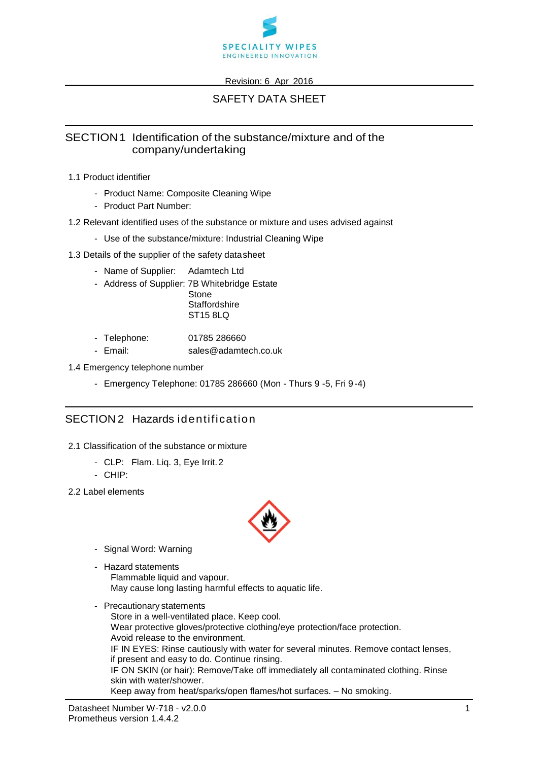

#### Revision: 6 Apr 2016

# SAFETY DATA SHEET

### SECTION1 Identification of the substance/mixture and of the company/undertaking

- 1.1 Product identifier
	- Product Name: Composite Cleaning Wipe
	- Product Part Number:
- 1.2 Relevant identified uses of the substance or mixture and uses advised against
	- Use of the substance/mixture: Industrial Cleaning Wipe
- 1.3 Details of the supplier of the safety datasheet
	- Name of Supplier: Adamtech Ltd
	- Address of Supplier: 7B Whitebridge Estate
		- Stone **Staffordshire** ST15 8LQ
	- Telephone: 01785 286660
	- Email: sales@adamtech.co.uk
- 1.4 Emergency telephone number
	- Emergency Telephone: 01785 286660 (Mon Thurs 9 -5, Fri 9 -4)

### SECTION 2 Hazards identification

- 2.1 Classification of the substance or mixture
	- CLP: Flam. Liq. 3, Eye Irrit.2
	- CHIP:
- 2.2 Label elements



- Signal Word: Warning
- Hazard statements Flammable liquid and vapour. May cause long lasting harmful effects to aquatic life.
- Precautionary statements Store in a well-ventilated place. Keep cool. Wear protective gloves/protective clothing/eye protection/face protection. Avoid release to the environment. IF IN EYES: Rinse cautiously with water for several minutes. Remove contact lenses, if present and easy to do. Continue rinsing. IF ON SKIN (or hair): Remove/Take off immediately all contaminated clothing. Rinse skin with water/shower. Keep away from heat/sparks/open flames/hot surfaces. – No smoking.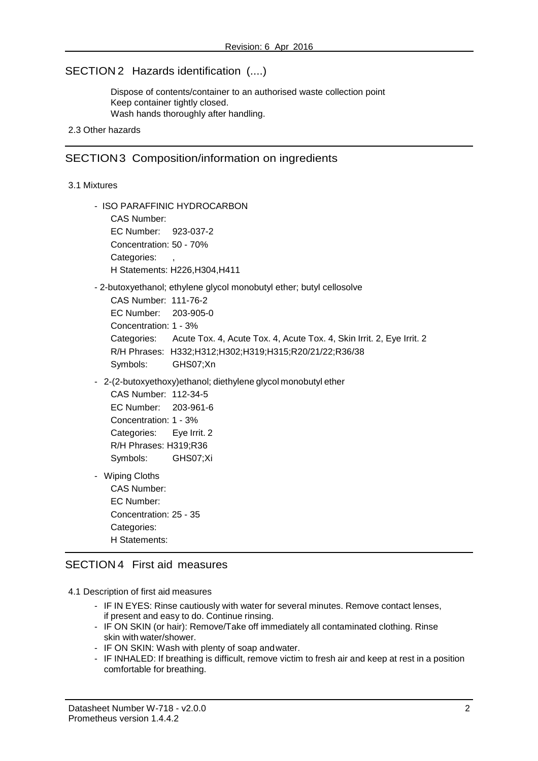### SECTION 2 Hazards identification (....)

Dispose of contents/container to an authorised waste collection point Keep container tightly closed. Wash hands thoroughly after handling.

#### 2.3 Other hazards

#### SECTION3 Composition/information on ingredients

#### 3.1 Mixtures

- ISO PARAFFINIC HYDROCARBON CAS Number: EC Number: 923-037-2 Concentration: 50 - 70% Categories: H Statements: H226,H304,H411 - 2-butoxyethanol; ethylene glycol monobutyl ether; butyl cellosolve CAS Number: 111-76-2 EC Number: 203-905-0 Concentration: 1 - 3% Categories: Acute Tox. 4, Acute Tox. 4, Acute Tox. 4, Skin Irrit. 2, Eye Irrit. 2 R/H Phrases: H332;H312;H302;H319;H315;R20/21/22;R36/38 Symbols: GHS07;Xn
- 2-(2-butoxyethoxy)ethanol; diethylene glycol monobutyl ether

```
CAS Number: 112-34-5
EC Number: 203-961-6
Concentration: 1 - 3% 
Categories: Eye Irrit. 2
R/H Phrases: H319;R36 
Symbols: GHS07;Xi
```
- Wiping Cloths CAS Number: EC Number: Concentration: 25 - 35 Categories: H Statements:

#### SECTION 4 First aid measures

- 4.1 Description of first aid measures
	- IF IN EYES: Rinse cautiously with water for several minutes. Remove contact lenses, if present and easy to do. Continue rinsing.
	- IF ON SKIN (or hair): Remove/Take off immediately all contaminated clothing. Rinse skin with water/shower.
	- IF ON SKIN: Wash with plenty of soap andwater.
	- IF INHALED: If breathing is difficult, remove victim to fresh air and keep at rest in a position comfortable for breathing.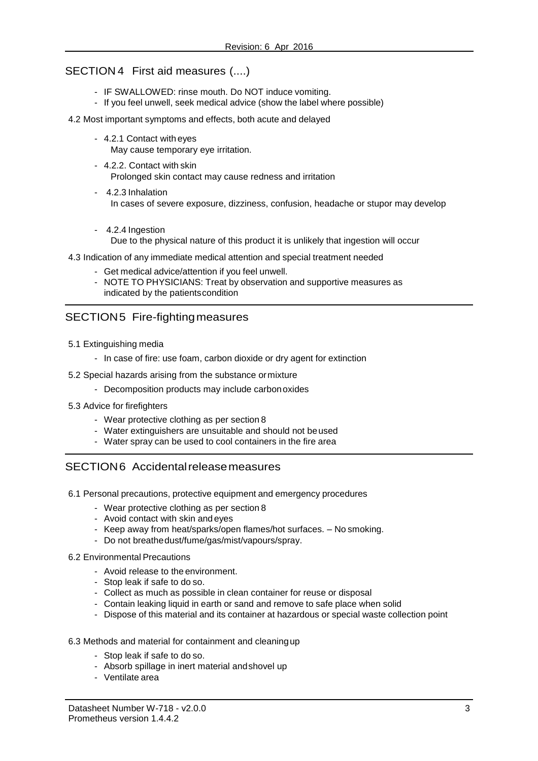### SECTION 4 First aid measures (....)

- IF SWALLOWED: rinse mouth. Do NOT induce vomiting.
- If you feel unwell, seek medical advice (show the label where possible)

#### 4.2 Most important symptoms and effects, both acute and delayed

- 4.2.1 Contact with eyes May cause temporary eye irritation.
- 4.2.2. Contact with skin Prolonged skin contact may cause redness and irritation
- 4.2.3 Inhalation In cases of severe exposure, dizziness, confusion, headache or stupor may develop
- 4.2.4 Ingestion Due to the physical nature of this product it is unlikely that ingestion will occur
- 4.3 Indication of any immediate medical attention and special treatment needed
	- Get medical advice/attention if you feel unwell.
	- NOTE TO PHYSICIANS: Treat by observation and supportive measures as indicated by the patientscondition

### SECTION5 Fire-fightingmeasures

- 5.1 Extinguishing media
	- In case of fire: use foam, carbon dioxide or dry agent for extinction
- 5.2 Special hazards arising from the substance ormixture
	- Decomposition products may include carbon oxides
- 5.3 Advice for firefighters
	- Wear protective clothing as per section 8
	- Water extinguishers are unsuitable and should not beused
	- Water spray can be used to cool containers in the fire area

## SECTION6 Accidentalreleasemeasures

- 6.1 Personal precautions, protective equipment and emergency procedures
	- Wear protective clothing as per section 8
	- Avoid contact with skin and eyes
	- Keep away from heat/sparks/open flames/hot surfaces. No smoking.
	- Do not breathedust/fume/gas/mist/vapours/spray.
- 6.2 Environmental Precautions
	- Avoid release to the environment.
	- Stop leak if safe to do so.
	- Collect as much as possible in clean container for reuse or disposal
	- Contain leaking liquid in earth or sand and remove to safe place when solid
	- Dispose of this material and its container at hazardous or special waste collection point

#### 6.3 Methods and material for containment and cleaningup

- Stop leak if safe to do so.
- Absorb spillage in inert material andshovel up
- Ventilate area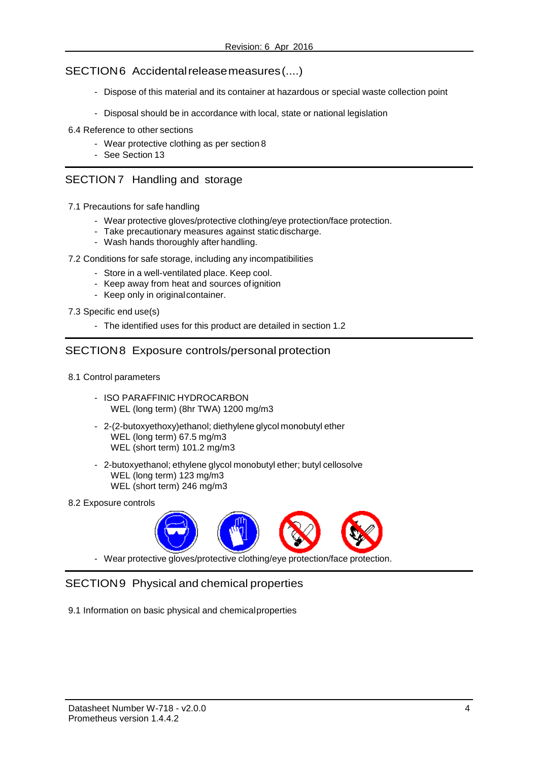#### SECTION6 Accidentalreleasemeasures(....)

- Dispose of this material and its container at hazardous or special waste collection point
- Disposal should be in accordance with local, state or national legislation
- 6.4 Reference to other sections
	- Wear protective clothing as per section 8
	- See Section 13

### SECTION 7 Handling and storage

- 7.1 Precautions for safe handling
	- Wear protective gloves/protective clothing/eye protection/face protection.
	- Take precautionary measures against staticdischarge.
	- Wash hands thoroughly after handling.
- 7.2 Conditions for safe storage, including any incompatibilities
	- Store in a well-ventilated place. Keep cool.
	- Keep away from heat and sources ofignition
	- Keep only in originalcontainer.

7.3 Specific end use(s)

- The identified uses for this product are detailed in section 1.2

### SECTION8 Exposure controls/personal protection

- 8.1 Control parameters
	- ISO PARAFFINIC HYDROCARBON WEL (long term) (8hr TWA) 1200 mg/m3
	- 2-(2-butoxyethoxy)ethanol; diethylene glycol monobutyl ether WEL (long term) 67.5 mg/m3 WEL (short term) 101.2 mg/m3
	- 2-butoxyethanol; ethylene glycol monobutyl ether; butyl cellosolve WEL (long term) 123 mg/m3 WEL (short term) 246 mg/m3
- 8.2 Exposure controls



- Wear protective gloves/protective clothing/eye protection/face protection.

### SECTION9 Physical and chemical properties

9.1 Information on basic physical and chemicalproperties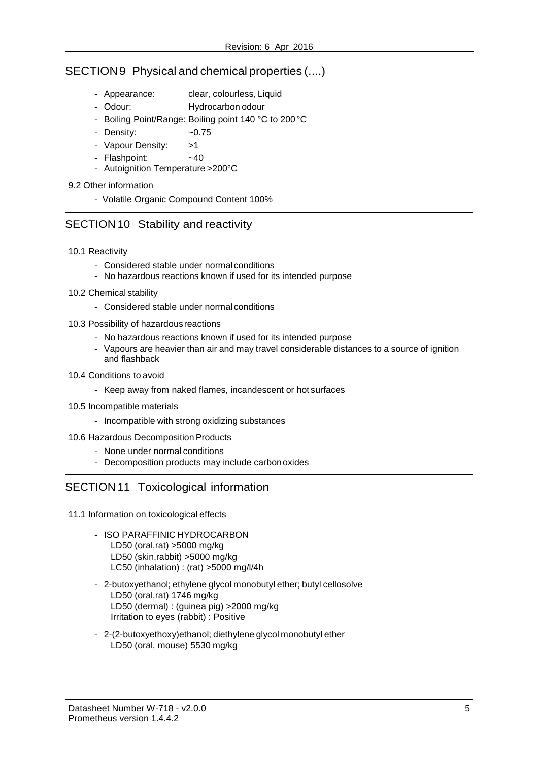### SECTION9 Physical and chemical properties (....)

- Appearance: clear, colourless, Liquid
- Odour: Hydrocarbon odour
- Boiling Point/Range: Boiling point 140 °C to 200 °C
- Density:  $\sim$  0.75
- Vapour Density: >1
- Flashpoint: ~40
- Autoignition Temperature >200°C
- 9.2 Other information
	- Volatile Organic Compound Content 100%

## SECTION 10 Stability and reactivity

- 10.1 Reactivity
	- Considered stable under normalconditions
	- No hazardous reactions known if used for its intended purpose
- 10.2 Chemical stability
	- Considered stable under normal conditions
- 10.3 Possibility of hazardousreactions
	- No hazardous reactions known if used for its intended purpose
	- Vapours are heavier than air and may travel considerable distances to a source of ignition and flashback
- 10.4 Conditions to avoid
	- Keep away from naked flames, incandescent or hot surfaces
- 10.5 Incompatible materials
	- Incompatible with strong oxidizing substances
- 10.6 Hazardous Decomposition Products
	- None under normal conditions
	- Decomposition products may include carbon oxides

# SECTION 11 Toxicological information

- 11.1 Information on toxicological effects
	- ISO PARAFFINIC HYDROCARBON LD50 (oral,rat) >5000 mg/kg LD50 (skin,rabbit) >5000 mg/kg LC50 (inhalation) : (rat) >5000 mg/l/4h
	- 2-butoxyethanol; ethylene glycol monobutyl ether; butyl cellosolve LD50 (oral,rat) 1746 mg/kg LD50 (dermal) : (guinea pig) >2000 mg/kg Irritation to eyes (rabbit) : Positive
	- 2-(2-butoxyethoxy)ethanol; diethylene glycol monobutyl ether LD50 (oral, mouse) 5530 mg/kg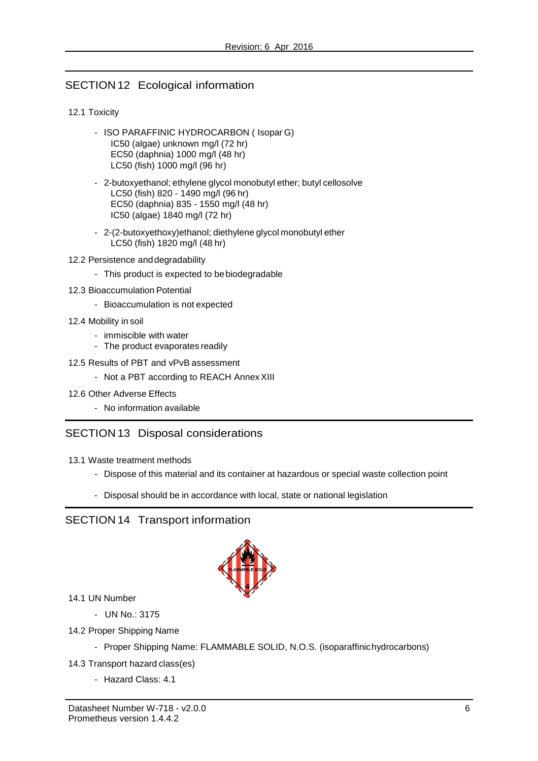# SECTION 12 Ecological information

#### 12.1 Toxicity

- ISO PARAFFINIC HYDROCARBON ( Isopar G) IC50 (algae) unknown mg/l (72 hr) EC50 (daphnia) 1000 mg/l (48 hr) LC50 (fish) 1000 mg/l (96 hr)
- 2-butoxyethanol; ethylene glycol monobutyl ether; butyl cellosolve LC50 (fish) 820 - 1490 mg/l (96 hr) EC50 (daphnia) 835 - 1550 mg/l (48 hr) IC50 (algae) 1840 mg/l (72 hr)
- 2-(2-butoxyethoxy)ethanol; diethylene glycol monobutyl ether LC50 (fish) 1820 mg/l (48 hr)
- 12.2 Persistence anddegradability
	- This product is expected to bebiodegradable
- 12.3 Bioaccumulation Potential
	- Bioaccumulation is not expected
- 12.4 Mobility in soil
	- immiscible with water
	- The product evaporates readily
- 12.5 Results of PBT and vPvB assessment
	- Not a PBT according to REACH Annex XIII
- 12.6 Other Adverse Effects
	- No information available

## SECTION 13 Disposal considerations

- 13.1 Waste treatment methods
	- Dispose of this material and its container at hazardous or special waste collection point
	- Disposal should be in accordance with local, state or national legislation

### SECTION 14 Transport information



- 14.1 UN Number
	- UN No.: 3175
- 14.2 Proper Shipping Name
	- Proper Shipping Name: FLAMMABLE SOLID, N.O.S. (isoparaffinichydrocarbons)
- 14.3 Transport hazard class(es)
	- Hazard Class: 4.1